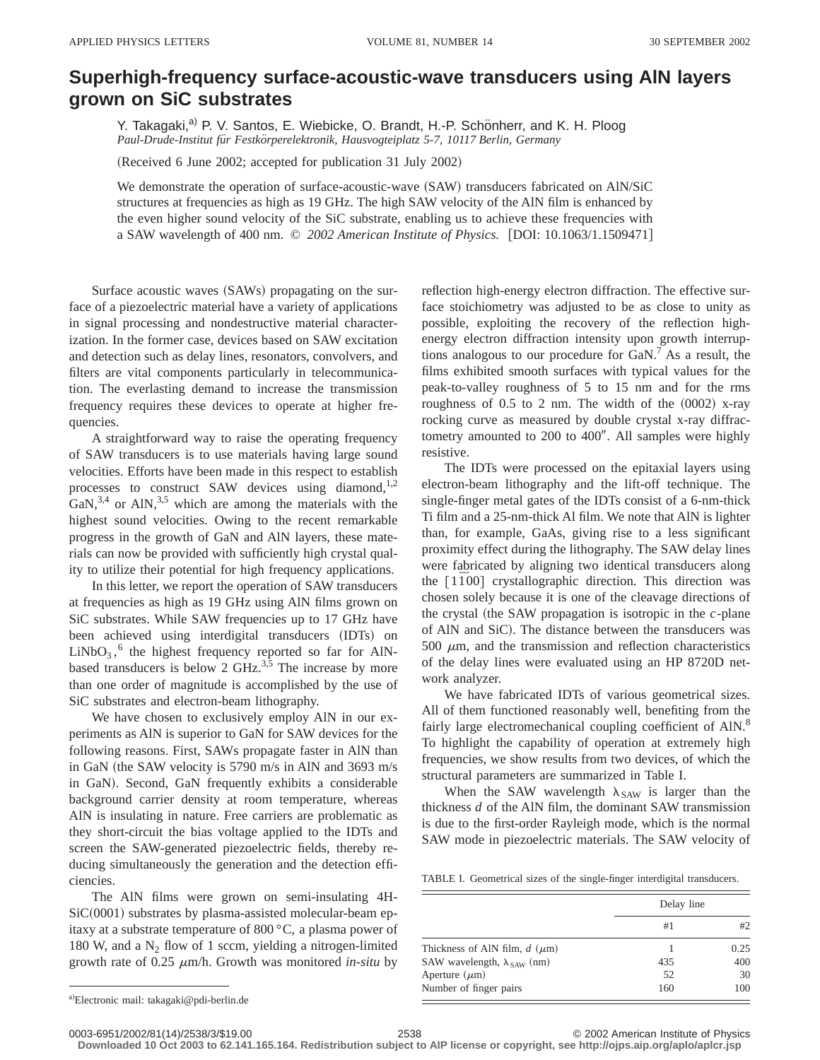## **Superhigh-frequency surface-acoustic-wave transducers using AlN layers grown on SiC substrates**

Y. Takagaki,<sup>a)</sup> P. V. Santos, E. Wiebicke, O. Brandt, H.-P. Schönherr, and K. H. Ploog *Paul-Drude-Institut fu¨r Festko¨rperelektronik, Hausvogteiplatz 5-7, 10117 Berlin, Germany*

(Received 6 June 2002; accepted for publication 31 July 2002)

We demonstrate the operation of surface-acoustic-wave (SAW) transducers fabricated on AlN/SiC structures at frequencies as high as 19 GHz. The high SAW velocity of the AlN film is enhanced by the even higher sound velocity of the SiC substrate, enabling us to achieve these frequencies with a SAW wavelength of 400 nm.  $\odot$  2002 American Institute of Physics. [DOI: 10.1063/1.1509471]

Surface acoustic waves (SAWs) propagating on the surface of a piezoelectric material have a variety of applications in signal processing and nondestructive material characterization. In the former case, devices based on SAW excitation and detection such as delay lines, resonators, convolvers, and filters are vital components particularly in telecommunication. The everlasting demand to increase the transmission frequency requires these devices to operate at higher frequencies.

A straightforward way to raise the operating frequency of SAW transducers is to use materials having large sound velocities. Efforts have been made in this respect to establish processes to construct SAW devices using diamond, $1,2$  $\text{GaN},^{3,4}$  or AlN,<sup>3,5</sup> which are among the materials with the highest sound velocities. Owing to the recent remarkable progress in the growth of GaN and AlN layers, these materials can now be provided with sufficiently high crystal quality to utilize their potential for high frequency applications.

In this letter, we report the operation of SAW transducers at frequencies as high as 19 GHz using AlN films grown on SiC substrates. While SAW frequencies up to 17 GHz have been achieved using interdigital transducers (IDTs) on  $LiNbO<sub>3</sub>$ , <sup>6</sup> the highest frequency reported so far for AlNbased transducers is below 2 GHz.<sup>3,5</sup> The increase by more than one order of magnitude is accomplished by the use of SiC substrates and electron-beam lithography.

We have chosen to exclusively employ AlN in our experiments as AlN is superior to GaN for SAW devices for the following reasons. First, SAWs propagate faster in AlN than in GaN (the SAW velocity is 5790 m/s in AlN and 3693 m/s in GaN). Second, GaN frequently exhibits a considerable background carrier density at room temperature, whereas AlN is insulating in nature. Free carriers are problematic as they short-circuit the bias voltage applied to the IDTs and screen the SAW-generated piezoelectric fields, thereby reducing simultaneously the generation and the detection efficiencies.

The AlN films were grown on semi-insulating 4H- $SiC(0001)$  substrates by plasma-assisted molecular-beam epitaxy at a substrate temperature of 800 °C, a plasma power of 180 W, and a  $N_2$  flow of 1 sccm, yielding a nitrogen-limited growth rate of  $0.25 \mu m/h$ . Growth was monitored *in-situ* by reflection high-energy electron diffraction. The effective surface stoichiometry was adjusted to be as close to unity as possible, exploiting the recovery of the reflection highenergy electron diffraction intensity upon growth interruptions analogous to our procedure for  $GaN$ .<sup>7</sup> As a result, the films exhibited smooth surfaces with typical values for the peak-to-valley roughness of 5 to 15 nm and for the rms roughness of  $0.5$  to  $2$  nm. The width of the  $(0002)$  x-ray rocking curve as measured by double crystal x-ray diffractometry amounted to 200 to 400". All samples were highly resistive.

The IDTs were processed on the epitaxial layers using electron-beam lithography and the lift-off technique. The single-finger metal gates of the IDTs consist of a 6-nm-thick Ti film and a 25-nm-thick Al film. We note that AlN is lighter than, for example, GaAs, giving rise to a less significant proximity effect during the lithography. The SAW delay lines were fabricated by aligning two identical transducers along the  $[1\overline{1}00]$  crystallographic direction. This direction was chosen solely because it is one of the cleavage directions of the crystal (the SAW propagation is isotropic in the  $c$ -plane of AlN and SiC). The distance between the transducers was 500  $\mu$ m, and the transmission and reflection characteristics of the delay lines were evaluated using an HP 8720D network analyzer.

We have fabricated IDTs of various geometrical sizes. All of them functioned reasonably well, benefiting from the fairly large electromechanical coupling coefficient of AlN.<sup>8</sup> To highlight the capability of operation at extremely high frequencies, we show results from two devices, of which the structural parameters are summarized in Table I.

When the SAW wavelength  $\lambda_{SAW}$  is larger than the thickness *d* of the AlN film, the dominant SAW transmission is due to the first-order Rayleigh mode, which is the normal SAW mode in piezoelectric materials. The SAW velocity of

TABLE I. Geometrical sizes of the single-finger interdigital transducers.

|                                             |     | Delay line |  |  |
|---------------------------------------------|-----|------------|--|--|
|                                             | #1  |            |  |  |
| Thickness of AlN film, $d$ ( $\mu$ m)       |     | 0.25       |  |  |
| SAW wavelength, $\lambda_{\text{SAW}}$ (nm) | 435 | 400        |  |  |
| Aperture $(\mu m)$                          | 52  | 30         |  |  |
| Number of finger pairs                      | 160 | 100        |  |  |

**Downloaded 10 Oct 2003 to 62.141.165.164. Redistribution subject to AIP license or copyright, see http://ojps.aip.org/aplo/aplcr.jsp**

a)Electronic mail: takagaki@pdi-berlin.de

<sup>0003-6951/2002/81(14)/2538/3/\$19.00 © 2002</sup> American Institute of Physics 2538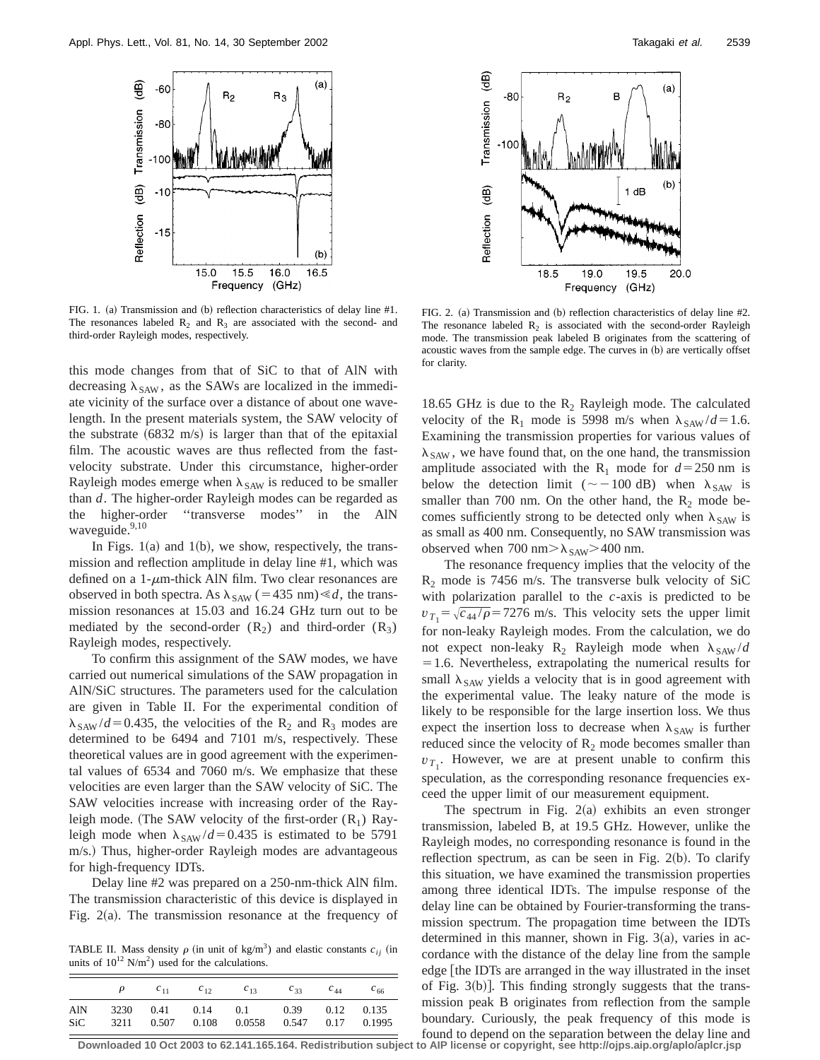

FIG. 1. (a) Transmission and (b) reflection characteristics of delay line #1. The resonances labeled  $R_2$  and  $R_3$  are associated with the second- and third-order Rayleigh modes, respectively.

this mode changes from that of SiC to that of AlN with decreasing  $\lambda_{SAW}$ , as the SAWs are localized in the immediate vicinity of the surface over a distance of about one wavelength. In the present materials system, the SAW velocity of the substrate  $(6832 \text{ m/s})$  is larger than that of the epitaxial film. The acoustic waves are thus reflected from the fastvelocity substrate. Under this circumstance, higher-order Rayleigh modes emerge when  $\lambda_{SAW}$  is reduced to be smaller than *d*. The higher-order Rayleigh modes can be regarded as the higher-order ''transverse modes'' in the AlN waveguide.<sup>9,10</sup>

In Figs. 1(a) and 1(b), we show, respectively, the transmission and reflection amplitude in delay line #1, which was defined on a  $1-\mu$ m-thick AlN film. Two clear resonances are observed in both spectra. As  $\lambda_{SAW}$  (=435 nm)  $\le d$ , the transmission resonances at 15.03 and 16.24 GHz turn out to be mediated by the second-order  $(R_2)$  and third-order  $(R_3)$ Rayleigh modes, respectively.

To confirm this assignment of the SAW modes, we have carried out numerical simulations of the SAW propagation in AlN/SiC structures. The parameters used for the calculation are given in Table II. For the experimental condition of  $\lambda_{SAW}/d$ =0.435, the velocities of the R<sub>2</sub> and R<sub>3</sub> modes are determined to be 6494 and 7101 m/s, respectively. These theoretical values are in good agreement with the experimental values of 6534 and 7060 m/s. We emphasize that these velocities are even larger than the SAW velocity of SiC. The SAW velocities increase with increasing order of the Rayleigh mode. (The SAW velocity of the first-order  $(R_1)$  Rayleigh mode when  $\lambda_{SAW} / d = 0.435$  is estimated to be 5791 m/s.! Thus, higher-order Rayleigh modes are advantageous for high-frequency IDTs.

Delay line #2 was prepared on a 250-nm-thick AlN film. The transmission characteristic of this device is displayed in Fig.  $2(a)$ . The transmission resonance at the frequency of

TABLE II. Mass density  $\rho$  (in unit of kg/m<sup>3</sup>) and elastic constants  $c_{ii}$  (in units of  $10^{12}$  N/m<sup>2</sup>) used for the calculations.

|            | ρ    | $c_{11}$ | $c_{12}$ | $c_{13}$ | $C_{33}$ | $c_{44}$ | $c_{66}$       |
|------------|------|----------|----------|----------|----------|----------|----------------|
| AlN        | 3230 | 0.41     | 0.14     | 0.1      | 0.39     | 0.17     | $0.12$ $0.135$ |
| <b>SiC</b> | 3211 | 0.507    | 0.108    | 0.0558   | 0.547    |          | 0.1995         |



FIG. 2. (a) Transmission and (b) reflection characteristics of delay line #2. The resonance labeled  $R_2$  is associated with the second-order Rayleigh mode. The transmission peak labeled B originates from the scattering of acoustic waves from the sample edge. The curves in (b) are vertically offset for clarity.

18.65 GHz is due to the  $R_2$  Rayleigh mode. The calculated velocity of the R<sub>1</sub> mode is 5998 m/s when  $\lambda_{SAW}/d=1.6$ . Examining the transmission properties for various values of  $\lambda_{SAW}$ , we have found that, on the one hand, the transmission amplitude associated with the R<sub>1</sub> mode for  $d=250$  nm is below the detection limit ( $\sim$  -100 dB) when  $\lambda_{SAW}$  is smaller than 700 nm. On the other hand, the  $R_2$  mode becomes sufficiently strong to be detected only when  $\lambda_{SAW}$  is as small as 400 nm. Consequently, no SAW transmission was observed when 700 nm $>\lambda_{SAW}$  > 400 nm.

The resonance frequency implies that the velocity of the  $R_2$  mode is 7456 m/s. The transverse bulk velocity of SiC with polarization parallel to the *c*-axis is predicted to be  $v_{T_1} = \sqrt{c_{44}/\rho} = 7276$  m/s. This velocity sets the upper limit for non-leaky Rayleigh modes. From the calculation, we do not expect non-leaky  $R_2$  Rayleigh mode when  $\lambda_{SAW}/d$  $=1.6$ . Nevertheless, extrapolating the numerical results for small  $\lambda_{SAW}$  yields a velocity that is in good agreement with the experimental value. The leaky nature of the mode is likely to be responsible for the large insertion loss. We thus expect the insertion loss to decrease when  $\lambda_{SAW}$  is further reduced since the velocity of  $R_2$  mode becomes smaller than  $v_{T_1}$ . However, we are at present unable to confirm this speculation, as the corresponding resonance frequencies exceed the upper limit of our measurement equipment.

The spectrum in Fig.  $2(a)$  exhibits an even stronger transmission, labeled B, at 19.5 GHz. However, unlike the Rayleigh modes, no corresponding resonance is found in the reflection spectrum, as can be seen in Fig.  $2(b)$ . To clarify this situation, we have examined the transmission properties among three identical IDTs. The impulse response of the delay line can be obtained by Fourier-transforming the transmission spectrum. The propagation time between the IDTs determined in this manner, shown in Fig.  $3(a)$ , varies in accordance with the distance of the delay line from the sample edge [the IDTs are arranged in the way illustrated in the inset of Fig.  $3(b)$ ]. This finding strongly suggests that the transmission peak B originates from reflection from the sample boundary. Curiously, the peak frequency of this mode is found to depend on the separation between the delay line and

**Downloaded 10 Oct 2003 to 62.141.165.164. Redistribution subject to AIP license or copyright, see http://ojps.aip.org/aplo/aplcr.jsp**